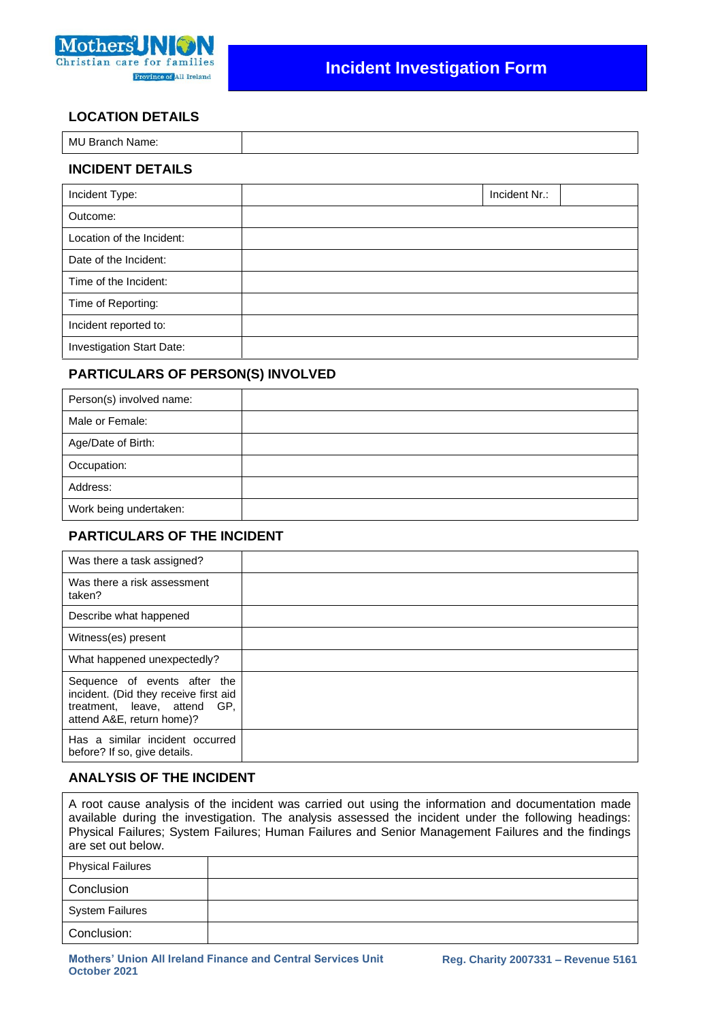

# **Incident Investigation Form**

# **LOCATION DETAILS**

| MU<br><b>Branch</b><br>Name: |  |
|------------------------------|--|
|                              |  |

# **INCIDENT DETAILS**

| Incident Type:            | Incident Nr.: |
|---------------------------|---------------|
| Outcome:                  |               |
| Location of the Incident: |               |
| Date of the Incident:     |               |
| Time of the Incident:     |               |
| Time of Reporting:        |               |
| Incident reported to:     |               |
| Investigation Start Date: |               |

### **PARTICULARS OF PERSON(S) INVOLVED**

| Person(s) involved name: |  |
|--------------------------|--|
| Male or Female:          |  |
| Age/Date of Birth:       |  |
| Occupation:              |  |
| Address:                 |  |
| Work being undertaken:   |  |

# **PARTICULARS OF THE INCIDENT**

| Was there a task assigned?                                                                                                         |  |
|------------------------------------------------------------------------------------------------------------------------------------|--|
| Was there a risk assessment<br>taken?                                                                                              |  |
| Describe what happened                                                                                                             |  |
| Witness(es) present                                                                                                                |  |
| What happened unexpectedly?                                                                                                        |  |
| Sequence of events after the<br>incident. (Did they receive first aid<br>treatment, leave, attend GP,<br>attend A&E, return home)? |  |
| Has a similar incident occurred<br>before? If so, give details.                                                                    |  |

# **ANALYSIS OF THE INCIDENT**

A root cause analysis of the incident was carried out using the information and documentation made available during the investigation. The analysis assessed the incident under the following headings: Physical Failures; System Failures; Human Failures and Senior Management Failures and the findings are set out below.

| <b>Physical Failures</b> |  |
|--------------------------|--|
| Conclusion               |  |
| <b>System Failures</b>   |  |
| Conclusion:              |  |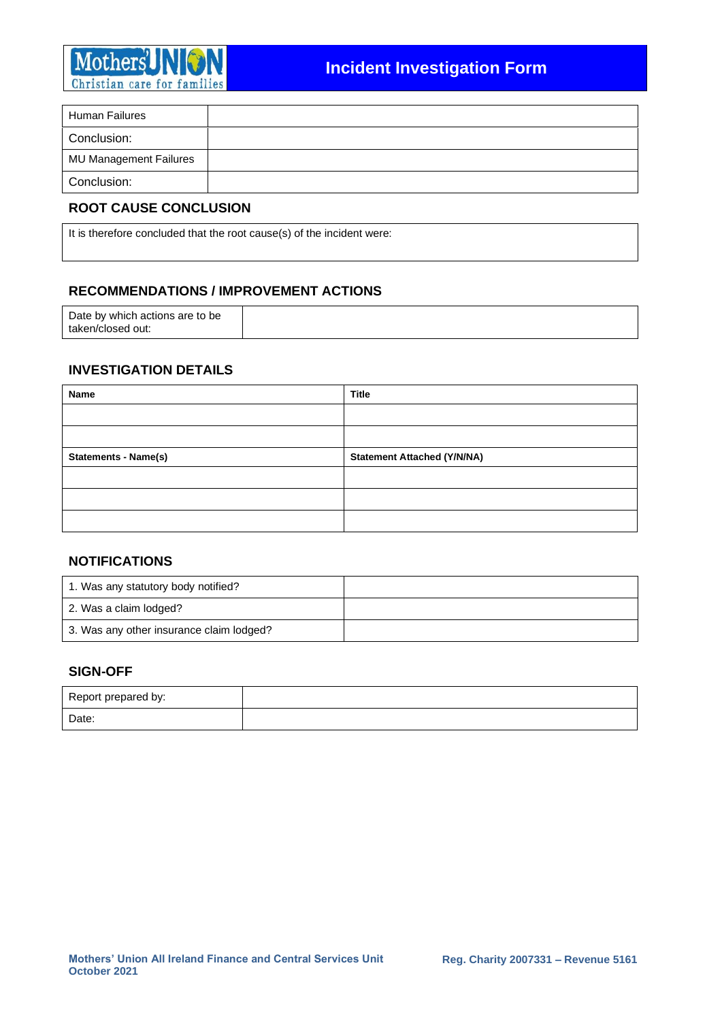

| Human Failures         |  |
|------------------------|--|
| Conclusion:            |  |
| MU Management Failures |  |
| Conclusion:            |  |

# **ROOT CAUSE CONCLUSION**

It is therefore concluded that the root cause(s) of the incident were:

### **RECOMMENDATIONS / IMPROVEMENT ACTIONS**

| Date by which actions are to be |  |
|---------------------------------|--|
| taken/closed out:               |  |

# **INVESTIGATION DETAILS**

| Name                        | <b>Title</b>                       |
|-----------------------------|------------------------------------|
|                             |                                    |
|                             |                                    |
| <b>Statements - Name(s)</b> | <b>Statement Attached (Y/N/NA)</b> |
|                             |                                    |
|                             |                                    |
|                             |                                    |

#### **NOTIFICATIONS**

| 1. Was any statutory body notified?      |  |
|------------------------------------------|--|
| 2. Was a claim lodged?                   |  |
| 3. Was any other insurance claim lodged? |  |

### **SIGN-OFF**

| Report prepared by: |  |
|---------------------|--|
| Date:               |  |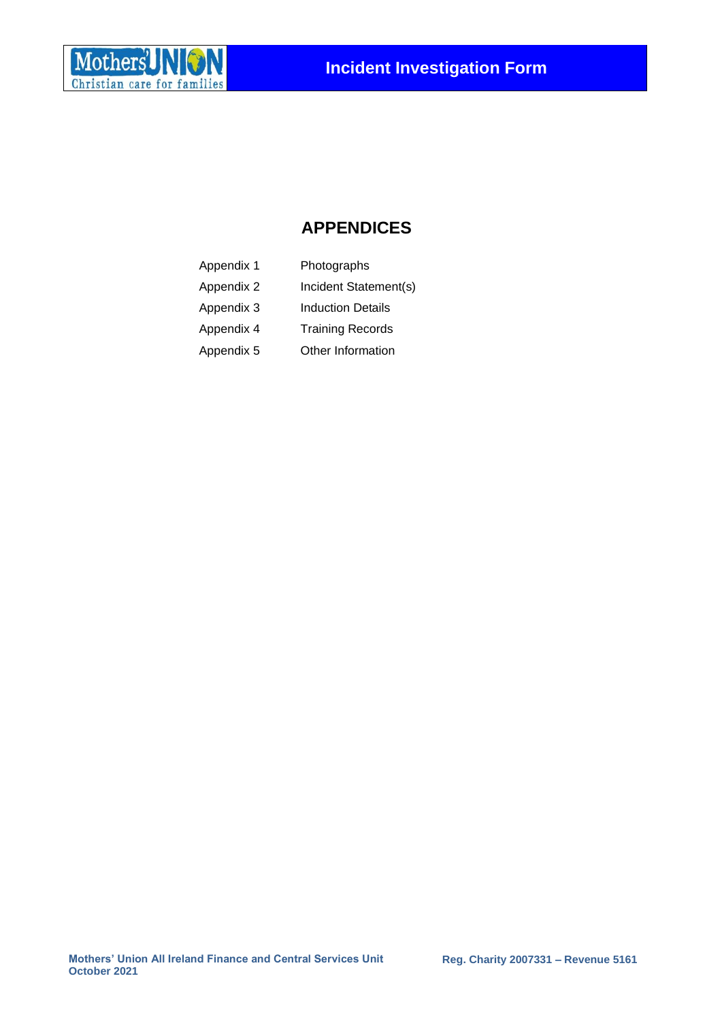

# **APPENDICES**

| Appendix 1 | Photographs              |
|------------|--------------------------|
| Appendix 2 | Incident Statement(s)    |
| Appendix 3 | <b>Induction Details</b> |
| Appendix 4 | <b>Training Records</b>  |
| Appendix 5 | Other Information        |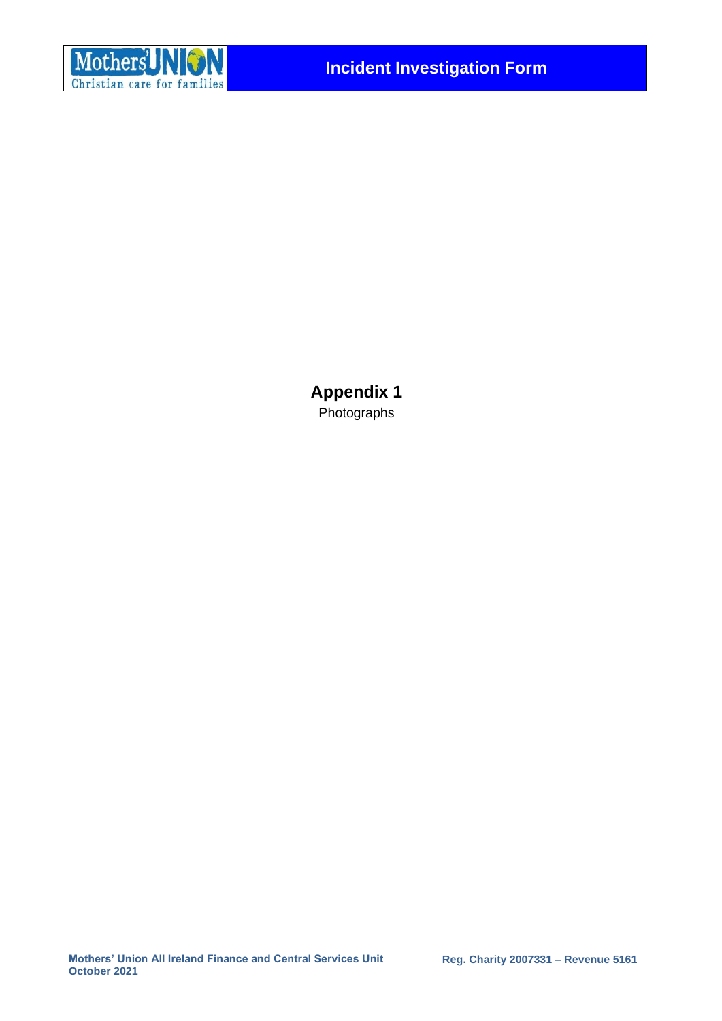

**Appendix 1**  Photographs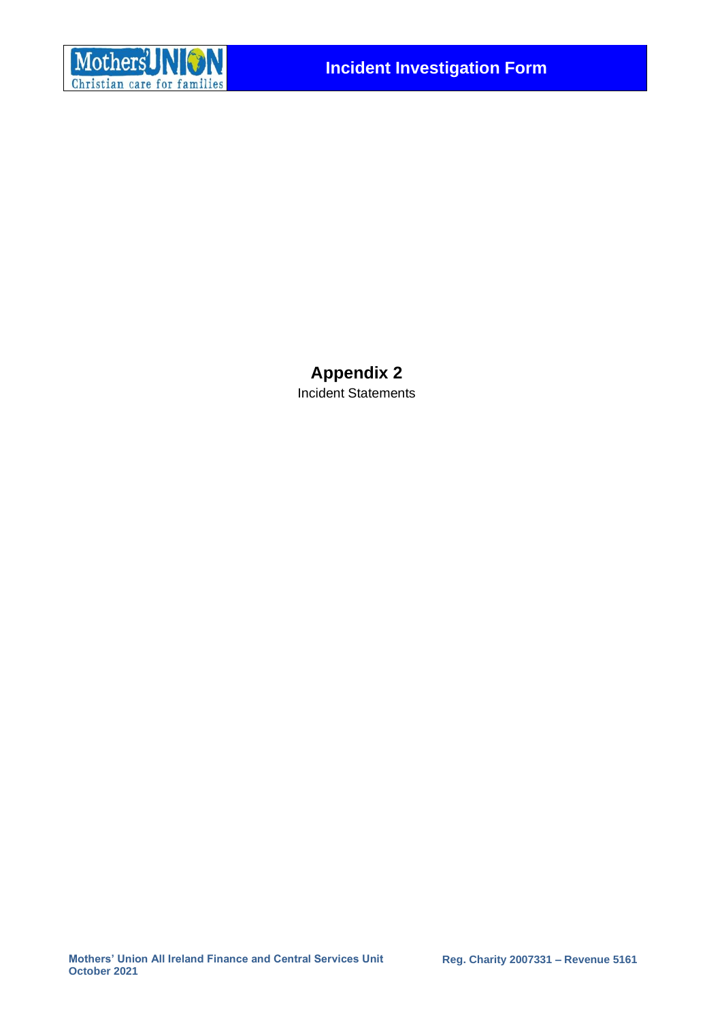

**Appendix 2** Incident Statements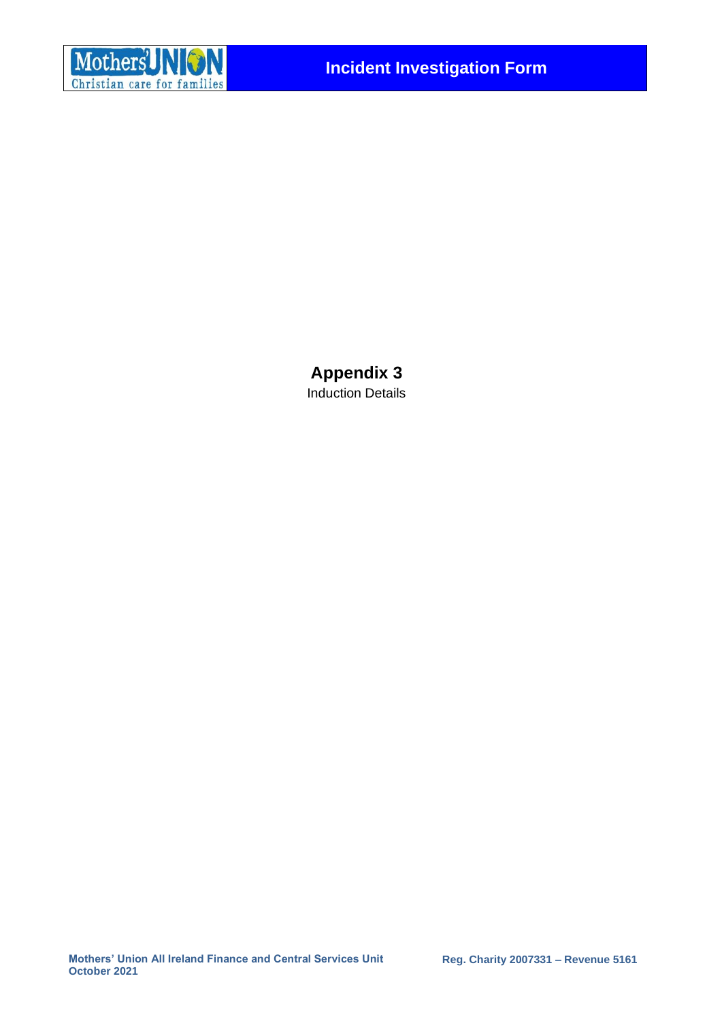

**Appendix 3** Induction Details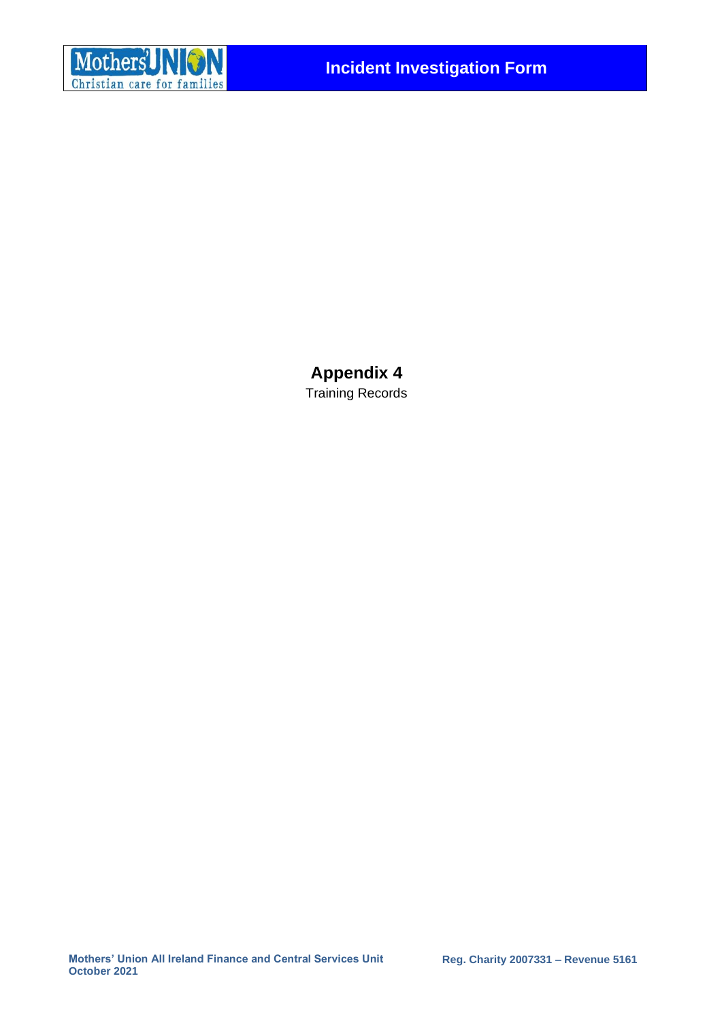

**Appendix 4** Training Records